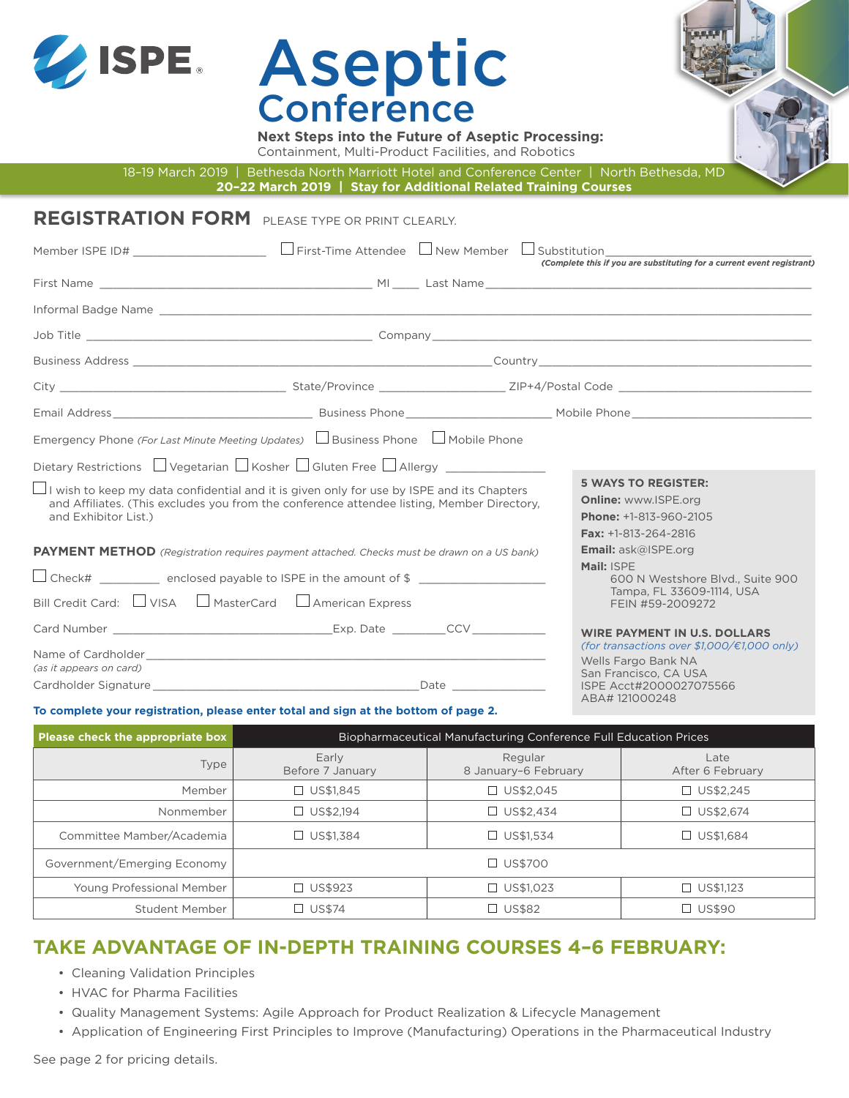

# Aseptic **Conference**

**Next Steps into the Future of Aseptic Processing:** Containment, Multi-Product Facilities, and Robotics

18–19 March 2019 | Bethesda North Marriott Hotel and Conference Center | North Bethesda, MD

**20–22 March 2019 | Stay for Additional Related Training Courses**

|                                                     | <b>REGISTRATION FORM</b> PLEASE TYPE OR PRINT CLEARLY.                                                                                                                                              |                                                                                                                                            |
|-----------------------------------------------------|-----------------------------------------------------------------------------------------------------------------------------------------------------------------------------------------------------|--------------------------------------------------------------------------------------------------------------------------------------------|
|                                                     |                                                                                                                                                                                                     | (Complete this if you are substituting for a current event registrant)                                                                     |
|                                                     |                                                                                                                                                                                                     |                                                                                                                                            |
|                                                     |                                                                                                                                                                                                     |                                                                                                                                            |
|                                                     |                                                                                                                                                                                                     |                                                                                                                                            |
|                                                     |                                                                                                                                                                                                     |                                                                                                                                            |
|                                                     |                                                                                                                                                                                                     |                                                                                                                                            |
|                                                     |                                                                                                                                                                                                     |                                                                                                                                            |
|                                                     | Emergency Phone (For Last Minute Meeting Updates) L Business Phone L Mobile Phone<br>Dietary Restrictions $\Box$ Vegetarian $\Box$ Kosher $\Box$ Gluten Free $\Box$ Allergy _____________           | <b>5 WAYS TO REGISTER:</b>                                                                                                                 |
| and Exhibitor List.)                                | $\bigsqcup$ I wish to keep my data confidential and it is given only for use by ISPE and its Chapters<br>and Affiliates. (This excludes you from the conference attendee listing, Member Directory, | <b>Online: www.ISPE.org</b><br>Phone: +1-813-960-2105<br>Fax: $+1-813-264-2816$                                                            |
|                                                     | <b>PAYMENT METHOD</b> (Registration requires payment attached. Checks must be drawn on a US bank)                                                                                                   | <b>Email:</b> ask@ISPE.org<br>Mail: ISPE                                                                                                   |
| Bill Credit Card: UNISA MasterCard American Express | $\Box$ Check# ___________ enclosed payable to ISPE in the amount of \$ ___________________                                                                                                          | 600 N Westshore Blvd., Suite 900<br>Tampa, FL 33609-1114, USA<br>FEIN #59-2009272                                                          |
| (as it appears on card)                             |                                                                                                                                                                                                     | <b>WIRE PAYMENT IN U.S. DOLLARS</b><br>(for transactions over $$1,000/\epsilon1,000$ only)<br>Wells Fargo Bank NA<br>San Francisco, CA USA |
|                                                     | To complete your registration, please enter total and sign at the bottom of page 2.                                                                                                                 | ISPE Acct#2000027075566<br>ABA#121000248                                                                                                   |

#### **To complete your registration, please enter total and sign at the bottom of page 2.**

| Please check the appropriate box | <b>Biopharmaceutical Manufacturing Conference Full Education Prices</b> |                                 |                          |
|----------------------------------|-------------------------------------------------------------------------|---------------------------------|--------------------------|
| Type                             | Early<br>Before 7 January                                               | Regular<br>8 January-6 February | Late<br>After 6 February |
| Member                           | $\Box$ US\$1.845                                                        | □ US\$2.045                     | $\Box$ US\$2,245         |
| Nonmember                        | $\Box$ US\$2,194                                                        | $\Box$ US\$2,434                | $\Box$ US\$2,674         |
| Committee Mamber/Academia        | US\$1,384<br>$\Box$                                                     | $\Box$ US\$1.534                | $\Box$ US\$1,684         |
| Government/Emerging Economy      | $\Box$ US\$700                                                          |                                 |                          |
| Young Professional Member        | $\Box$ US\$923                                                          | $\Box$ US\$1,023                | $\Box$ US\$1,123         |
| Student Member                   | $\Box$ US\$74                                                           | $\Box$ US\$82                   | $\Box$ US\$90            |

### **TAKE ADVANTAGE OF IN-DEPTH TRAINING COURSES 4–6 FEBRUARY:**

- Cleaning Validation Principles
- HVAC for Pharma Facilities
- Quality Management Systems: Agile Approach for Product Realization & Lifecycle Management
- Application of Engineering First Principles to Improve (Manufacturing) Operations in the Pharmaceutical Industry

See page 2 for pricing details.